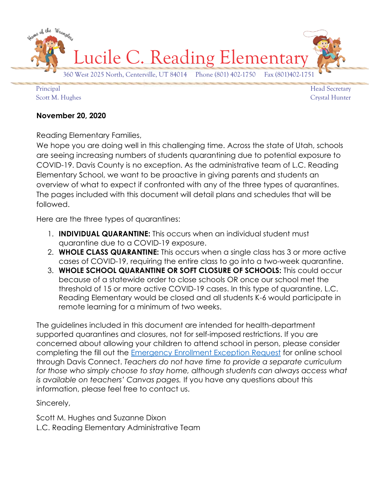

Principal Head Secretary Scott M. Hughes Crystal Hunter

### **November 20, 2020**

Reading Elementary Families,

We hope you are doing well in this challenging time. Across the state of Utah, schools are seeing increasing numbers of students quarantining due to potential exposure to COVID-19. Davis County is no exception. As the administrative team of L.C. Reading Elementary School, we want to be proactive in giving parents and students an overview of what to expect if confronted with any of the three types of quarantines. The pages included with this document will detail plans and schedules that will be followed.

Here are the three types of quarantines:

- 1. **INDIVIDUAL QUARANTINE:** This occurs when an individual student must quarantine due to a COVID-19 exposure.
- 2. **WHOLE CLASS QUARANTINE:** This occurs when a single class has 3 or more active cases of COVID-19, requiring the entire class to go into a two-week quarantine.
- 3. **WHOLE SCHOOL QUARANTINE OR SOFT CLOSURE OF SCHOOLS:** This could occur because of a statewide order to close schools OR once our school met the threshold of 15 or more active COVID-19 cases. In this type of quarantine, L.C. Reading Elementary would be closed and all students K-6 would participate in remote learning for a minimum of two weeks.

The guidelines included in this document are intended for health-department supported quarantines and closures, not for self-imposed restrictions. If you are concerned about allowing your children to attend school in person, please consider completing the fill out the [Emergency Enrollment Exception Request](https://forms.office.com/Pages/ResponsePage.aspx?id=dPKcPX5U9UqN3gGmNuC2B7-63nbCAkRDjcV9wEBATJtUQzFOSUVCUjNSMUZHUklQT1REMENNMEFSWi4u) for online school through Davis Connect. *Teachers do not have time to provide a separate curriculum*  for those who simply choose to stay home, although students can always access what *is available on teachers' Canvas pages.* If you have any questions about this information, please feel free to contact us.

Sincerely,

Scott M. Hughes and Suzanne Dixon L.C. Reading Elementary Administrative Team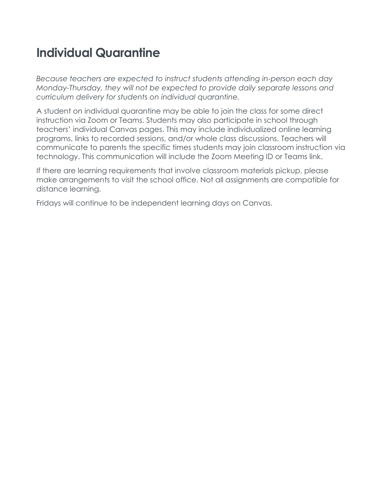## **Individual Quarantine**

*Because teachers are expected to instruct students attending in-person each day Monday-Thursday, they will not be expected to provide daily separate lessons and curriculum delivery for students on individual quarantine.*

A student on individual quarantine may be able to join the class for some direct instruction via Zoom or Teams. Students may also participate in school through teachers' individual Canvas pages. This may include individualized online learning programs, links to recorded sessions, and/or whole class discussions. Teachers will communicate to parents the specific times students may join classroom instruction via technology. This communication will include the Zoom Meeting ID or Teams link.

If there are learning requirements that involve classroom materials pickup, please make arrangements to visit the school office. Not all assignments are compatible for distance learning.

Fridays will continue to be independent learning days on Canvas.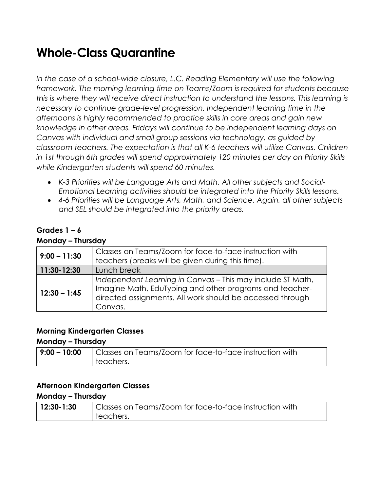## **Whole-Class Quarantine**

In the case of a school-wide closure, L.C. Reading Elementary will use the following *framework. The morning learning time on Teams/Zoom is required for students because this is where they will receive direct instruction to understand the lessons. This learning is necessary to continue grade-level progression. Independent learning time in the afternoons is highly recommended to practice skills in core areas and gain new knowledge in other areas. Fridays will continue to be independent learning days on Canvas with individual and small group sessions via technology, as guided by classroom teachers. The expectation is that all K-6 teachers will utilize Canvas. Children in 1st through 6th grades will spend approximately 120 minutes per day on Priority Skills while Kindergarten students will spend 60 minutes.*

- *K-3 Priorities will be Language Arts and Math. All other subjects and Social-Emotional Learning activities should be integrated into the Priority Skills lessons.*
- *4-6 Priorities will be Language Arts, Math, and Science. Again, all other subjects and SEL should be integrated into the priority areas.*

### **Grades 1 – 6**

### **Monday – Thursday**

| $9:00 - 11:30$ | Classes on Teams/Zoom for face-to-face instruction with<br>teachers (breaks will be given during this time).                                                                                  |
|----------------|-----------------------------------------------------------------------------------------------------------------------------------------------------------------------------------------------|
| 11:30-12:30    | Lunch break                                                                                                                                                                                   |
| $12:30 - 1:45$ | Independent Learning in Canvas - This may include ST Math,<br>Imagine Math, EduTyping and other programs and teacher-<br>directed assignments. All work should be accessed through<br>Canvas. |

### **Morning Kindergarten Classes**

### **Monday – Thursday**

| $ 9:00 - 10:00 $ | Classes on Teams/Zoom for face-to-face instruction with |
|------------------|---------------------------------------------------------|
|                  | teachers.                                               |

### **Afternoon Kindergarten Classes**

### **Monday – Thursday**

| <sup>∣</sup> 12:30-1:30 | Classes on Teams/Zoom for face-to-face instruction with |
|-------------------------|---------------------------------------------------------|
|                         | teachers.                                               |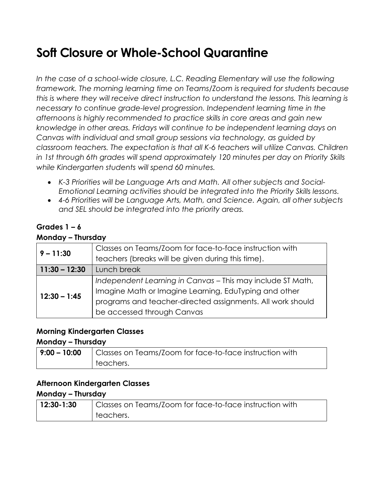# **Soft Closure or Whole-School Quarantine**

In the case of a school-wide closure, L.C. Reading Elementary will use the following *framework. The morning learning time on Teams/Zoom is required for students because this is where they will receive direct instruction to understand the lessons. This learning is necessary to continue grade-level progression. Independent learning time in the afternoons is highly recommended to practice skills in core areas and gain new knowledge in other areas. Fridays will continue to be independent learning days on Canvas with individual and small group sessions via technology, as guided by classroom teachers. The expectation is that all K-6 teachers will utilize Canvas. Children in 1st through 6th grades will spend approximately 120 minutes per day on Priority Skills while Kindergarten students will spend 60 minutes.*

- *K-3 Priorities will be Language Arts and Math. All other subjects and Social-Emotional Learning activities should be integrated into the Priority Skills lessons.*
- *4-6 Priorities will be Language Arts, Math, and Science. Again, all other subjects and SEL should be integrated into the priority areas.*

### **Grades 1 – 6**

### **Monday – Thursday**

| $9 - 11:30$     | Classes on Teams/Zoom for face-to-face instruction with    |
|-----------------|------------------------------------------------------------|
|                 | teachers (breaks will be given during this time).          |
| $11:30 - 12:30$ | Lunch break                                                |
| $12:30 - 1:45$  | Independent Learning in Canvas - This may include ST Math, |
|                 | Imagine Math or Imagine Learning, EduTyping and other      |
|                 | programs and teacher-directed assignments. All work should |
|                 | be accessed through Canvas                                 |

### **Morning Kindergarten Classes**

### **Monday – Thursday**

| $  9:00 - 10:00$ | Classes on Teams/Zoom for face-to-face instruction with |
|------------------|---------------------------------------------------------|
|                  | teachers.                                               |

### **Afternoon Kindergarten Classes**

### **Monday – Thursday**

| $12:30-1:30$ | Classes on Teams/Zoom for face-to-face instruction with |
|--------------|---------------------------------------------------------|
|              | teachers.                                               |